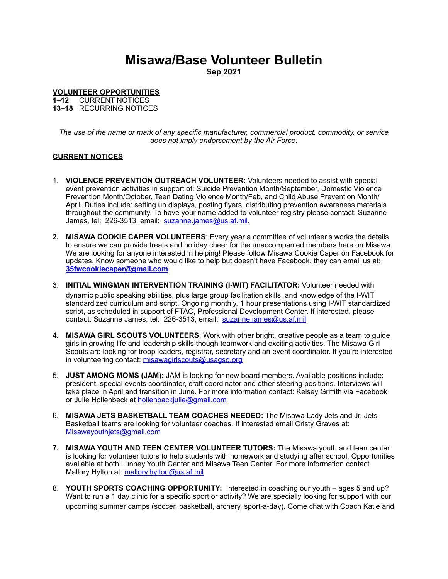## **Misawa/Base Volunteer Bulletin**

**Sep 2021**

**VOLUNTEER OPPORTUNITIES** 

**1–12** CURRENT NOTICES **13–18** RECURRING NOTICES

*The use of the name or mark of any specific manufacturer, commercial product, commodity, or service does not imply endorsement by the Air Force.*

## **CURRENT NOTICES**

- 1. **VIOLENCE PREVENTION OUTREACH VOLUNTEER:** Volunteers needed to assist with special event prevention activities in support of: Suicide Prevention Month/September, Domestic Violence Prevention Month/October, Teen Dating Violence Month/Feb, and Child Abuse Prevention Month/ April. Duties include: setting up displays, posting flyers, distributing prevention awareness materials throughout the community. To have your name added to volunteer registry please contact: Suzanne James, tel: 226-3513, email: [suzanne.james@us.af.mil.](mailto:suzanne.james@us.af.mil)
- **2. MISAWA COOKIE CAPER VOLUNTEERS**: Every year a committee of volunteer's works the details to ensure we can provide treats and holiday cheer for the unaccompanied members here on Misawa. We are looking for anyone interested in helping! Please follow Misawa Cookie Caper on Facebook for updates. Know someone who would like to help but doesn't have Facebook, they can email us at**: [35fwcookiecaper@gmail.com](mailto:35fwcookiecaper@gmail.com)**
- 3. **INITIAL WINGMAN INTERVENTION TRAINING (I-WIT) FACILITATOR:** Volunteer needed with dynamic public speaking abilities, plus large group facilitation skills, and knowledge of the I-WIT standardized curriculum and script. Ongoing monthly, 1 hour presentations using I-WIT standardized script, as scheduled in support of FTAC, Professional Development Center. If interested, please contact: Suzanne James, tel: 226-3513, email: [suzanne.james@us.af.mil](mailto:suzanne.james@us.af.mil)
- **4. MISAWA GIRL SCOUTS VOLUNTEERS**: Work with other bright, creative people as a team to guide girls in growing life and leadership skills though teamwork and exciting activities. The Misawa Girl Scouts are looking for troop leaders, registrar, secretary and an event coordinator. If you're interested in volunteering contact: [misawagirlscouts@usagso.org](mailto:misawagirlscouts@usagso.org)
- 5. **JUST AMONG MOMS (JAM):** JAM is looking for new board members. Available positions include: president, special events coordinator, craft coordinator and other steering positions. Interviews will take place in April and transition in June. For more information contact: Kelsey Griffith via Facebook or Julie Hollenbeck at [hollenbackjulie@gmail.com](mailto:hollenbackjulie@gmail.com)
- 6. **MISAWA JETS BASKETBALL TEAM COACHES NEEDED:** The Misawa Lady Jets and Jr. Jets Basketball teams are looking for volunteer coaches. If interested email Cristy Graves at: [Misawayouthjets@gmail.com](mailto:Misawayouthjets@gmail.com)
- **7. MISAWA YOUTH AND TEEN CENTER VOLUNTEER TUTORS:** The Misawa youth and teen center is looking for volunteer tutors to help students with homework and studying after school. Opportunities available at both Lunney Youth Center and Misawa Teen Center. For more information contact Mallory Hylton at: [mallory.hylton@us.af.mil](mailto:mallory.hylton@us.af.mil)
- 8. **YOUTH SPORTS COACHING OPPORTUNITY:** Interested in coaching our youth ages 5 and up? Want to run a 1 day clinic for a specific sport or activity? We are specially looking for support with our upcoming summer camps (soccer, basketball, archery, sport-a-day). Come chat with Coach Katie and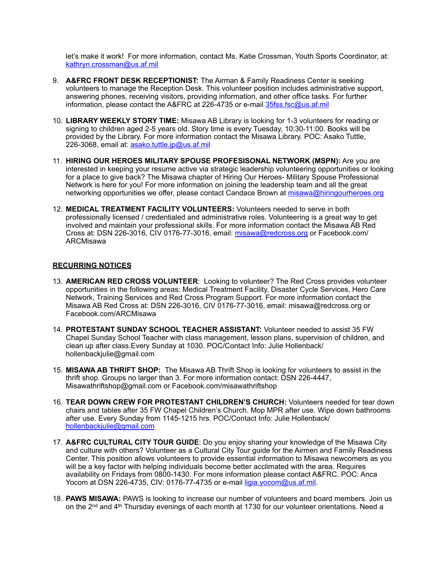let's make it work! For more information, contact Ms. Katie Crossman, Youth Sports Coordinator, at: [kathryn.crossman@us.af.mil](mailto:kathryn.crossman@us.af.mil)

- 9. **A&FRC FRONT DESK RECEPTIONIST:** The Airman & Family Readiness Center is seeking volunteers to manage the Reception Desk. This volunteer position includes administrative support, answering phones, receiving visitors, providing information, and other office tasks. For further information, please contact the A&FRC at 226-4735 or e-mail [35fss.fsc@us.af.mil](mailto:35fss.fsc@us.af.mil)
- 10. **LIBRARY WEEKLY STORY TIME:** Misawa AB Library is looking for 1-3 volunteers for reading or signing to children aged 2-5 years old. Story time is every Tuesday, 10:30-11:00. Books will be provided by the Library. For more information contact the Misawa Library. POC: Asako Tuttle, 226-3068, email at: [asako.tuttle.jp@us.af.mil](mailto:asako.tuttle.jp@us.af.mil)
- 11. **HIRING OUR HEROES MILITARY SPOUSE PROFESISONAL NETWORK (MSPN):** Are you are interested in keeping your resume active via strategic leadership volunteering opportunities or looking for a place to give back? The Misawa chapter of Hiring Our Heroes- Military Spouse Professional Network is here for you! For more information on joining the leadership team and all the great networking opportunities we offer, please contact Candace Brown at [misawa@hiringourheroes.org](mailto:misawa@hiringourheroes.org)
- 12. **MEDICAL TREATMENT FACILITY VOLUNTEERS:** Volunteers needed to serve in both professionally licensed / credentialed and administrative roles. Volunteering is a great way to get involved and maintain your professional skills. For more information contact the Misawa AB Red Cross at: DSN 226-3016, CIV 0176-77-3016, email: [misawa@redcross.org](mailto:misawa@redcross.org) or Facebook.com/ ARCMisawa

## **RECURRING NOTICES**

- 13. **AMERICAN RED CROSS VOLUNTEER**: Looking to volunteer? The Red Cross provides volunteer opportunities in the following areas: Medical Treatment Facility, Disaster Cycle Services, Hero Care Network, Training Services and Red Cross Program Support. For more information contact the Misawa AB Red Cross at: DSN 226-3016, CIV 0176-77-3016, email: misawa@redcross.org or Facebook.com/ARCMisawa
- 14. **PROTESTANT SUNDAY SCHOOL TEACHER ASSISTANT:** Volunteer needed to assist 35 FW Chapel Sunday School Teacher with class management, lesson plans, supervision of children, and clean up after class.Every Sunday at 1030. POC/Contact Info: Julie Hollenback/ hollenbackjulie@gmail.com
- 15. **MISAWA AB THRIFT SHOP:** The Misawa AB Thrift Shop is looking for volunteers to assist in the thrift shop. Groups no larger than 3. For more information contact: DSN 226-4447, Misawathriftshop@gmail.com or Facebook.com/misawathriftshop
- 16. **TEAR DOWN CREW FOR PROTESTANT CHILDREN'S CHURCH:** Volunteers needed for tear down chairs and tables after 35 FW Chapel Children's Church. Mop MPR after use. Wipe down bathrooms after use. Every Sunday from 1145-1215 hrs. POC/Contact Info: Julie Hollenback/ [hollenbackjulie@gmail.com](mailto:hollenbackjulie@gmail.com)
- 17. **A&FRC CULTURAL CITY TOUR GUIDE**: Do you enjoy sharing your knowledge of the Misawa City and culture with others? Volunteer as a Cultural City Tour guide for the Airmen and Family Readiness Center. This position allows volunteers to provide essential information to Misawa newcomers as you will be a key factor with helping individuals become better acclimated with the area. Requires availability on Fridays from 0800-1430. For more information please contact A&FRC. POC: Anca Yocom at DSN 226-4735, CIV: 0176-77-4735 or e-mail [ligia.yocom@us.af.mil.](mailto:ligia.yocom@us.af.mil)
- 18. **PAWS MISAWA:** PAWS is looking to increase our number of volunteers and board members. Join us on the 2<sup>nd</sup> and 4<sup>th</sup> Thursday evenings of each month at 1730 for our volunteer orientations. Need a